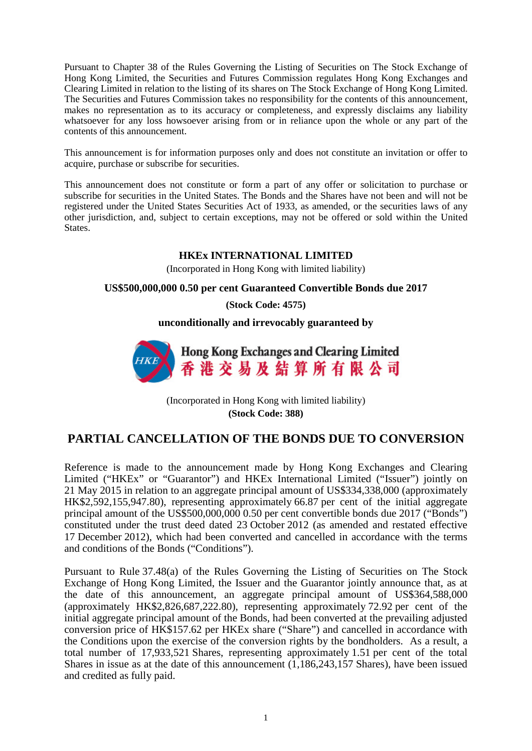Pursuant to Chapter 38 of the Rules Governing the Listing of Securities on The Stock Exchange of Hong Kong Limited, the Securities and Futures Commission regulates Hong Kong Exchanges and Clearing Limited in relation to the listing of its shares on The Stock Exchange of Hong Kong Limited. The Securities and Futures Commission takes no responsibility for the contents of this announcement, makes no representation as to its accuracy or completeness, and expressly disclaims any liability whatsoever for any loss howsoever arising from or in reliance upon the whole or any part of the contents of this announcement.

This announcement is for information purposes only and does not constitute an invitation or offer to acquire, purchase or subscribe for securities.

This announcement does not constitute or form a part of any offer or solicitation to purchase or subscribe for securities in the United States. The Bonds and the Shares have not been and will not be registered under the United States Securities Act of 1933, as amended, or the securities laws of any other jurisdiction, and, subject to certain exceptions, may not be offered or sold within the United States.

## **HKEx INTERNATIONAL LIMITED**

(Incorporated in Hong Kong with limited liability)

## **US\$500,000,000 0.50 per cent Guaranteed Convertible Bonds due 2017**

**(Stock Code: 4575)**

**unconditionally and irrevocably guaranteed by**



(Incorporated in Hong Kong with limited liability) **(Stock Code: 388)**

## **PARTIAL CANCELLATION OF THE BONDS DUE TO CONVERSION**

Reference is made to the announcement made by Hong Kong Exchanges and Clearing Limited ("HKEx" or "Guarantor") and HKEx International Limited ("Issuer") jointly on 21 May 2015 in relation to an aggregate principal amount of US\$334,338,000 (approximately HK\$2,592,155,947.80), representing approximately 66.87 per cent of the initial aggregate principal amount of the US\$500,000,000 0.50 per cent convertible bonds due 2017 ("Bonds") constituted under the trust deed dated 23 October 2012 (as amended and restated effective 17 December 2012), which had been converted and cancelled in accordance with the terms and conditions of the Bonds ("Conditions").

Pursuant to Rule 37.48(a) of the Rules Governing the Listing of Securities on The Stock Exchange of Hong Kong Limited, the Issuer and the Guarantor jointly announce that, as at the date of this announcement, an aggregate principal amount of US\$364,588,000 (approximately HK\$2,826,687,222.80), representing approximately 72.92 per cent of the initial aggregate principal amount of the Bonds, had been converted at the prevailing adjusted conversion price of HK\$157.62 per HKEx share ("Share") and cancelled in accordance with the Conditions upon the exercise of the conversion rights by the bondholders. As a result, a total number of 17,933,521 Shares, representing approximately 1.51 per cent of the total Shares in issue as at the date of this announcement (1,186,243,157 Shares), have been issued and credited as fully paid.